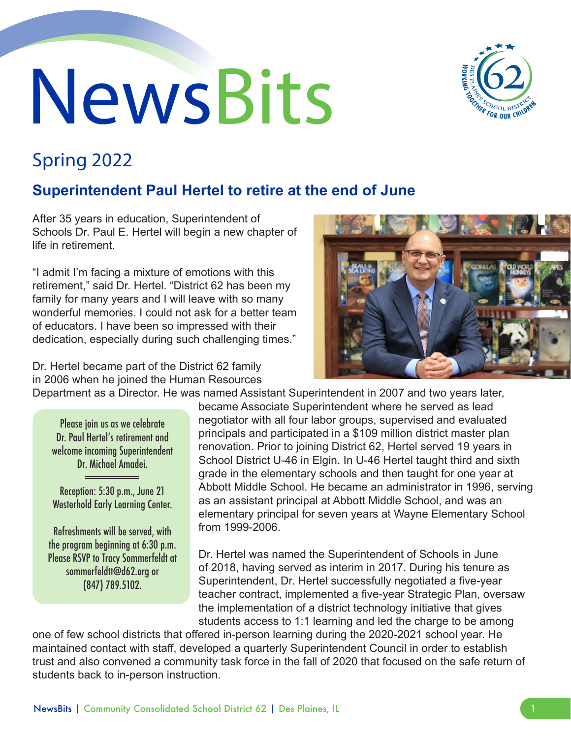# NewsBits



# Spring 2022

# **Superintendent Paul Hertel to retire at the end of June**

After 35 years in education, Superintendent of Schools Dr. Paul E. Hertel will begin a new chapter of life in retirement.

"I admit I'm facing a mixture of emotions with this retirement," said Dr. Hertel. "District 62 has been my family for many years and I will leave with so many wonderful memories. I could not ask for a better team of educators. I have been so impressed with their dedication, especially during such challenging times."

Dr. Hertel became part of the District 62 family in 2006 when he joined the Human Resources Department as a Director. He was named Assistant Superintendent in 2007 and two years later,

Please join us as we celebrate Dr. Paul Hertel's retirement and welcome incoming Superintendent Dr. Michael Amadei.

Reception: 5:30 p.m., June 21 Westerhold Early Learning Center.

Refreshments will be served, with the program beginning at 6:30 p.m. Please RSVP to Tracy Sommerfeldt at sommerfeldtt@d62.org or (847) 789.5102.

became Associate Superintendent where he served as lead negotiator with all four labor groups, supervised and evaluated principals and participated in a \$109 million district master plan renovation. Prior to joining District 62, Hertel served 19 years in School District U-46 in Elgin. In U-46 Hertel taught third and sixth grade in the elementary schools and then taught for one year at Abbott Middle School. He became an administrator in 1996, serving as an assistant principal at Abbott Middle School, and was an elementary principal for seven years at Wayne Elementary School from 1999-2006.

Dr. Hertel was named the Superintendent of Schools in June of 2018, having served as interim in 2017. During his tenure as Superintendent, Dr. Hertel successfully negotiated a five-year teacher contract, implemented a five-year Strategic Plan, oversaw the implementation of a district technology initiative that gives students access to 1:1 learning and led the charge to be among

one of few school districts that offered in-person learning during the 2020-2021 school year. He maintained contact with staff, developed a quarterly Superintendent Council in order to establish trust and also convened a community task force in the fall of 2020 that focused on the safe return of students back to in-person instruction.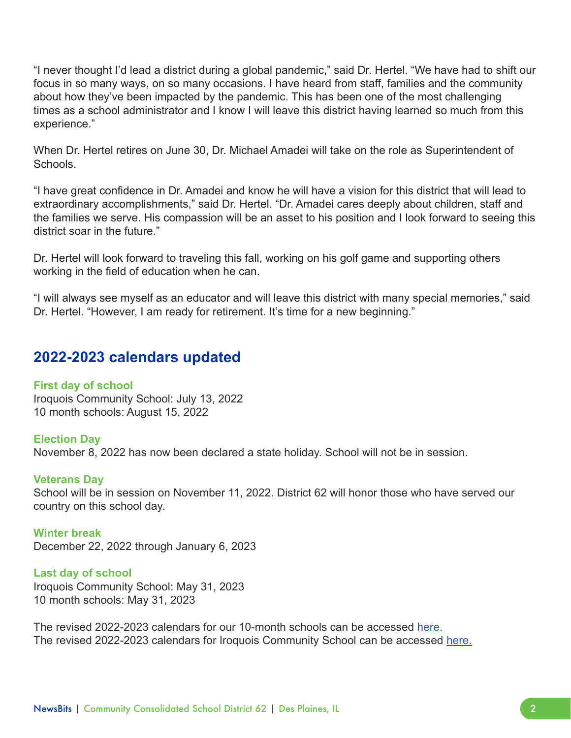"I never thought I'd lead a district during a global pandemic," said Dr. Hertel. "We have had to shift our focus in so many ways, on so many occasions. I have heard from staff, families and the community about how they've been impacted by the pandemic. This has been one of the most challenging times as a school administrator and I know I will leave this district having learned so much from this experience."

When Dr. Hertel retires on June 30, Dr. Michael Amadei will take on the role as Superintendent of **Schools** 

"I have great confidence in Dr. Amadei and know he will have a vision for this district that will lead to extraordinary accomplishments," said Dr. Hertel. "Dr. Amadei cares deeply about children, staff and the families we serve. His compassion will be an asset to his position and I look forward to seeing this district soar in the future."

Dr. Hertel will look forward to traveling this fall, working on his golf game and supporting others working in the field of education when he can.

"I will always see myself as an educator and will leave this district with many special memories," said Dr. Hertel. "However, I am ready for retirement. It's time for a new beginning."

### **2022-2023 calendars updated**

### **First day of school**

Iroquois Community School: July 13, 2022 10 month schools: August 15, 2022

### **Election Day**

November 8, 2022 has now been declared a state holiday. School will not be in session.

### **Veterans Day**

School will be in session on November 11, 2022. District 62 will honor those who have served our country on this school day.

**Winter break** December 22, 2022 through January 6, 2023

**Last day of school** Iroquois Community School: May 31, 2023 10 month schools: May 31, 2023

The revised 2022-2023 calendars for our 10-month schools can be accessed [here.](https://profile.d62.org/2122_Calendars/2022-2023_SchoolCalendar_en.pdf) The revised 2022-2023 calendars for Iroquois Community School can be accessed [here.](https://profile.d62.org/2122_Calendars/2022-2023_IroquoisCalendar_en.pdf)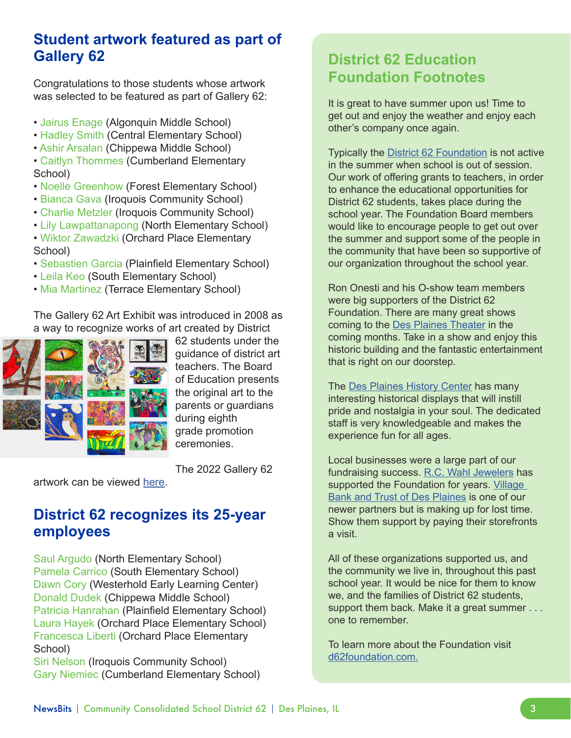## **Student artwork featured as part of Gallery 62**

Congratulations to those students whose artwork was selected to be featured as part of Gallery 62:

- Jairus Enage (Algonquin Middle School)
- Hadley Smith (Central Elementary School)
- Ashir Arsalan (Chippewa Middle School)
- Caitlyn Thommes (Cumberland Elementary School)
- Noelle Greenhow (Forest Elementary School)
- Bianca Gava (Iroquois Community School)
- Charlie Metzler (Iroquois Community School)
- Lily Lawpattanapong (North Elementary School)
- Wiktor Zawadzki (Orchard Place Elementary School)
- Sebastien Garcia (Plainfield Elementary School)
- Leila Keo (South Elementary School)
- Mia Martinez (Terrace Elementary School)

The Gallery 62 Art Exhibit was introduced in 2008 as a way to recognize works of art created by District



62 students under the guidance of district art teachers. The Board of Education presents the original art to the parents or guardians during eighth grade promotion ceremonies.

The 2022 Gallery 62

artwork can be viewed [here.](https://gallery62.d62.org/)

### **District 62 recognizes its 25-year employees**

Saul Argudo (North Elementary School) Pamela Carrico (South Elementary School) Dawn Cory (Westerhold Early Learning Center) Donald Dudek (Chippewa Middle School) Patricia Hanrahan (Plainfield Elementary School) Laura Hayek (Orchard Place Elementary School) Francesca Liberti (Orchard Place Elementary School)

Siri Nelson (Iroquois Community School) Gary Niemiec (Cumberland Elementary School)

## **District 62 Education Foundation Footnotes**

It is great to have summer upon us! Time to get out and enjoy the weather and enjoy each other's company once again.

Typically the [District 62 Foundation](http://d62foundation.com) is not active in the summer when school is out of session. Our work of offering grants to teachers, in order to enhance the educational opportunities for District 62 students, takes place during the school year. The Foundation Board members would like to encourage people to get out over the summer and support some of the people in the community that have been so supportive of our organization throughout the school year.

Ron Onesti and his O-show team members were big supporters of the District 62 Foundation. There are many great shows coming to the [Des Plaines Theater](https://desplainestheatre.com/) in the coming months. Take in a show and enjoy this historic building and the fantastic entertainment that is right on our doorstep.

The [Des Plaines History Center](https://www.desplaineshistory.org/) has many interesting historical displays that will instill pride and nostalgia in your soul. The dedicated staff is very knowledgeable and makes the experience fun for all ages.

Local businesses were a large part of our fundraising success. [R.C. Wahl Jewelers](https://www.wahljewelers.com/) has supported the Foundation for years. Village [Bank and Trust of Des Plaines](https://www.bankatvillage.com/) is one of our newer partners but is making up for lost time. Show them support by paying their storefronts a visit.

All of these organizations supported us, and the community we live in, throughout this past school year. It would be nice for them to know we, and the families of District 62 students, support them back. Make it a great summer . . . one to remember.

To learn more about the Foundation visit [d62foundation.com.](http://d62foundation.com)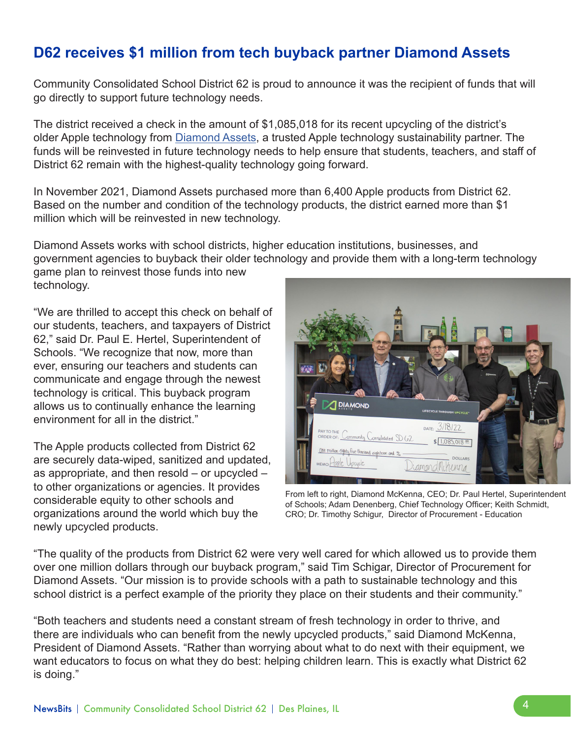# **D62 receives \$1 million from tech buyback partner Diamond Assets**

Community Consolidated School District 62 is proud to announce it was the recipient of funds that will go directly to support future technology needs.

The district received a check in the amount of \$1,085,018 for its recent upcycling of the district's older Apple technology from [Diamond Assets,](https://diamondassets.com/) a trusted Apple technology sustainability partner. The funds will be reinvested in future technology needs to help ensure that students, teachers, and staff of District 62 remain with the highest-quality technology going forward.

In November 2021, Diamond Assets purchased more than 6,400 Apple products from District 62. Based on the number and condition of the technology products, the district earned more than \$1 million which will be reinvested in new technology.

Diamond Assets works with school districts, higher education institutions, businesses, and government agencies to buyback their older technology and provide them with a long-term technology game plan to reinvest those funds into new

technology.

"We are thrilled to accept this check on behalf of our students, teachers, and taxpayers of District 62," said Dr. Paul E. Hertel, Superintendent of Schools. "We recognize that now, more than ever, ensuring our teachers and students can communicate and engage through the newest technology is critical. This buyback program allows us to continually enhance the learning environment for all in the district."

The Apple products collected from District 62 are securely data-wiped, sanitized and updated, as appropriate, and then resold – or upcycled – to other organizations or agencies. It provides considerable equity to other schools and organizations around the world which buy the newly upcycled products.



From left to right, Diamond McKenna, CEO; Dr. Paul Hertel, Superintendent of Schools; Adam Denenberg, Chief Technology Officer; Keith Schmidt, CRO; Dr. Timothy Schigur, Director of Procurement - Education

"The quality of the products from District 62 were very well cared for which allowed us to provide them over one million dollars through our buyback program," said Tim Schigar, Director of Procurement for Diamond Assets. "Our mission is to provide schools with a path to sustainable technology and this school district is a perfect example of the priority they place on their students and their community."

"Both teachers and students need a constant stream of fresh technology in order to thrive, and there are individuals who can benefit from the newly upcycled products," said Diamond McKenna, President of Diamond Assets. "Rather than worrying about what to do next with their equipment, we want educators to focus on what they do best: helping children learn. This is exactly what District 62 is doing."